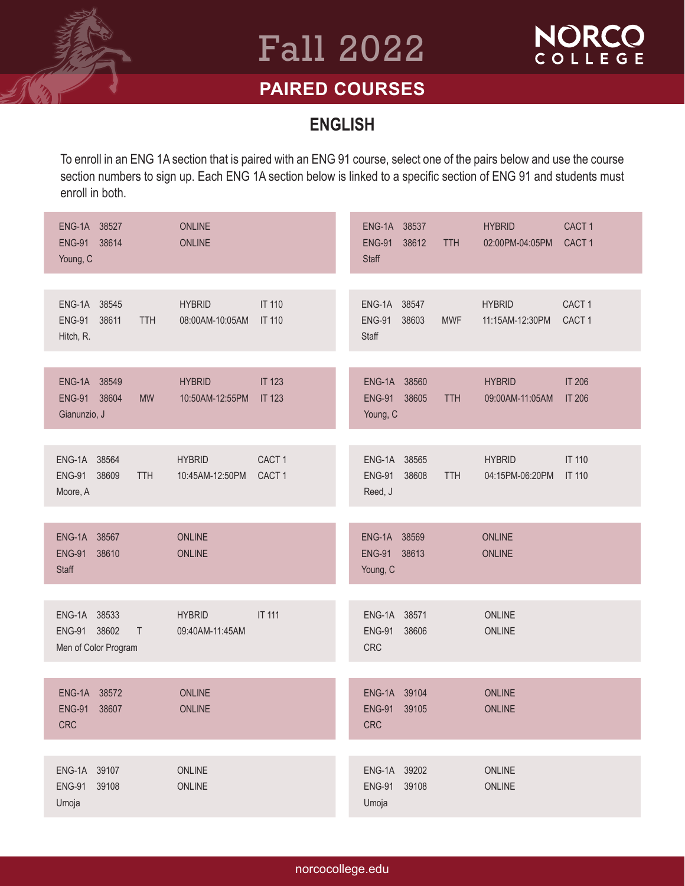

# Fall 2022



### **PAIRED COURSES**

#### **ENGLISH**

To enroll in an ENG 1A section that is paired with an ENG 91 course, select one of the pairs below and use the course section numbers to sign up. Each ENG 1A section below is linked to a specific section of ENG 91 and students must enroll in both.

| ENG-1A 38527<br><b>ENG-91</b><br>38614<br>Young, C                | <b>ONLINE</b><br><b>ONLINE</b>                                             | ENG-1A 38537<br><b>HYBRID</b><br>CACT <sub>1</sub><br><b>ENG-91</b><br>38612<br>CACT <sub>1</sub><br>02:00PM-04:05PM<br><b>TTH</b><br><b>Staff</b> |
|-------------------------------------------------------------------|----------------------------------------------------------------------------|----------------------------------------------------------------------------------------------------------------------------------------------------|
|                                                                   |                                                                            |                                                                                                                                                    |
| ENG-1A 38545<br>38611<br><b>ENG-91</b><br><b>TTH</b><br>Hitch, R. | <b>IT 110</b><br><b>HYBRID</b><br>08:00AM-10:05AM<br><b>IT 110</b>         | ENG-1A 38547<br><b>HYBRID</b><br>CACT <sub>1</sub><br>CACT <sub>1</sub><br><b>ENG-91</b><br>38603<br><b>MWF</b><br>11:15AM-12:30PM<br>Staff        |
|                                                                   |                                                                            |                                                                                                                                                    |
| ENG-1A 38549<br>ENG-91 38604<br><b>MW</b><br>Gianunzio, J         | <b>IT 123</b><br><b>HYBRID</b><br><b>IT 123</b><br>10:50AM-12:55PM         | ENG-1A 38560<br><b>HYBRID</b><br><b>IT 206</b><br><b>ENG-91</b><br>38605<br><b>IT 206</b><br><b>TTH</b><br>09:00AM-11:05AM<br>Young, C             |
|                                                                   |                                                                            |                                                                                                                                                    |
| ENG-1A 38564<br><b>ENG-91</b><br>38609<br><b>TTH</b><br>Moore, A  | CACT <sub>1</sub><br><b>HYBRID</b><br>10:45AM-12:50PM<br>CACT <sub>1</sub> | ENG-1A 38565<br><b>IT 110</b><br><b>HYBRID</b><br><b>ENG-91</b><br>38608<br>04:15PM-06:20PM<br><b>TTH</b><br><b>IT 110</b><br>Reed, J              |
|                                                                   |                                                                            |                                                                                                                                                    |
| ENG-1A 38567<br><b>ENG-91</b><br>38610<br>Staff                   | ONLINE<br><b>ONLINE</b>                                                    | ENG-1A 38569<br><b>ONLINE</b><br>ENG-91 38613<br><b>ONLINE</b><br>Young, C                                                                         |
|                                                                   |                                                                            |                                                                                                                                                    |
| ENG-1A 38533<br>ENG-91 38602<br>$\top$<br>Men of Color Program    | <b>IT 111</b><br><b>HYBRID</b><br>09:40AM-11:45AM                          | ENG-1A 38571<br><b>ONLINE</b><br>38606<br><b>ENG-91</b><br>ONLINE<br><b>CRC</b>                                                                    |
|                                                                   |                                                                            |                                                                                                                                                    |
| ENG-1A 38572<br><b>ENG-91</b><br>38607<br><b>CRC</b>              | <b>ONLINE</b><br><b>ONLINE</b>                                             | ENG-1A 39104<br><b>ONLINE</b><br><b>ENG-91</b><br>39105<br><b>ONLINE</b><br>CRC                                                                    |
|                                                                   |                                                                            |                                                                                                                                                    |
| ENG-1A 39107<br><b>ENG-91</b><br>39108<br>Umoja                   | ONLINE<br>ONLINE                                                           | 39202<br>ONLINE<br>ENG-1A<br>39108<br>ONLINE<br><b>ENG-91</b><br>Umoja                                                                             |